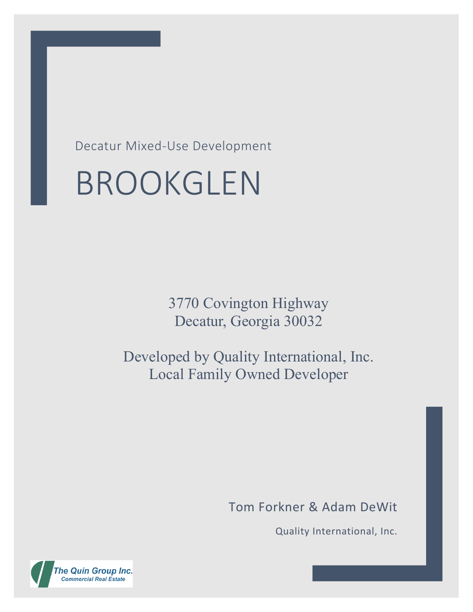Decatur Mixed-Use Development

# BROOKGLEN

3770 Covington Highway Decatur, Georgia 30032

Developed by Quality International, Inc. Local Family Owned Developer

Tom Forkner & Adam DeWit

Quality International, Inc.

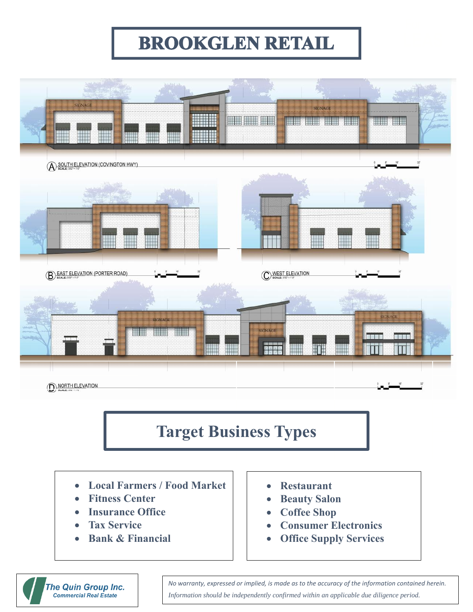### **BROOKGLEN RETAIL**

<u>For the second contract of the second contract of the second contract of the second contract of the second con</u>



#### **Target Business Types**

- **Local Farmers / Food Market**
- **Fitness Center**
- **Insurance Office**
- **Tax Service**
- **Bank & Financial**
- **Restaurant**
- **Beauty Salon**
- **Coffee Shop**
- **Consumer Electronics**
- **Office Supply Services**

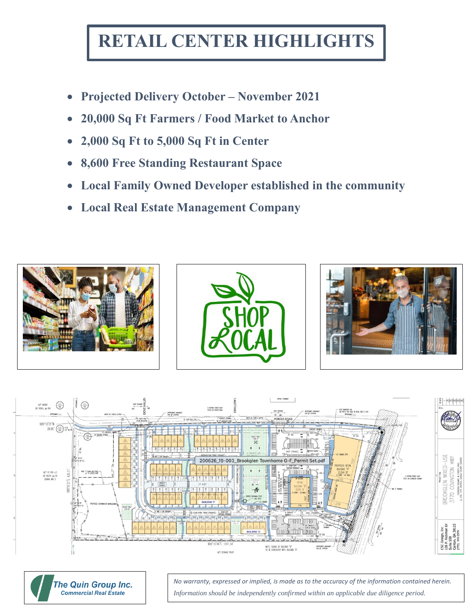# **RETAIL CENTER HIGHLIGHTS**

- **Projected Delivery October – November 2021**
- **20,000 Sq Ft Farmers / Food Market to Anchor**
- **2,000 Sq Ft to 5,000 Sq Ft in Center**
- **8,600 Free Standing Restaurant Space**
- **Local Family Owned Developer established in the community**
- **Local Real Estate Management Company**









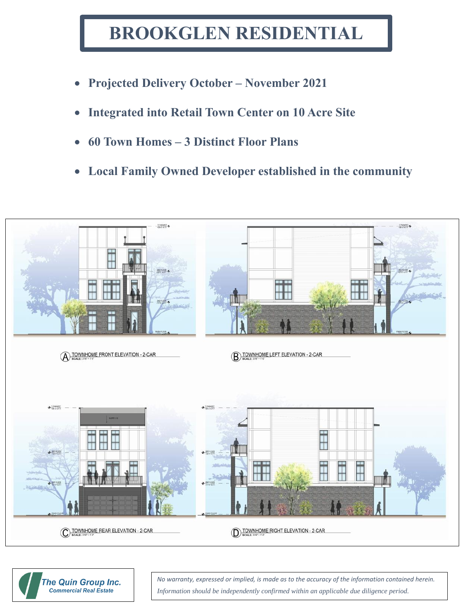## **BROOKGLEN RESIDENTIAL**

- **Projected Delivery October – November 2021**
- **Integrated into Retail Town Center on 10 Acre Site**
- **60 Town Homes – 3 Distinct Floor Plans**
- **Local Family Owned Developer established in the community**